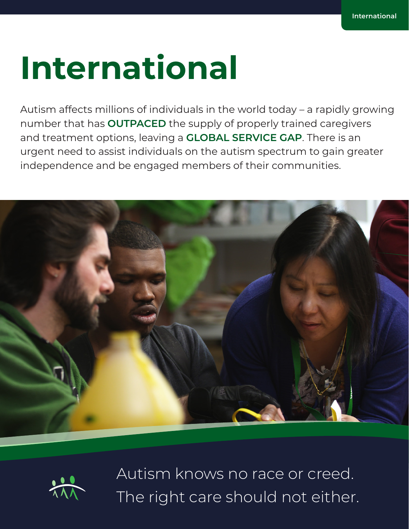# **International**

Autism affects millions of individuals in the world today – a rapidly growing number that has **OUTPACED** the supply of properly trained caregivers and treatment options, leaving a **GLOBAL SERVICE GAP**. There is an urgent need to assist individuals on the autism spectrum to gain greater independence and be engaged members of their communities.





Autism knows no race or creed. The right care should not either.